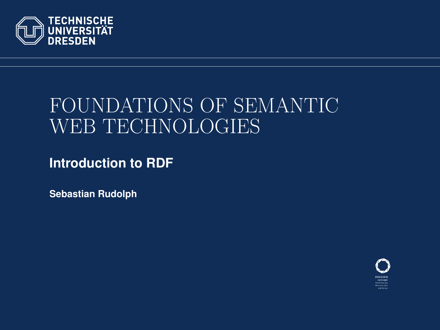<span id="page-0-0"></span>

# FOUNDATIONS OF SEMANTIC WEB TECHNOLOGIES

**Introduction to RDF**

**Sebastian Rudolph**

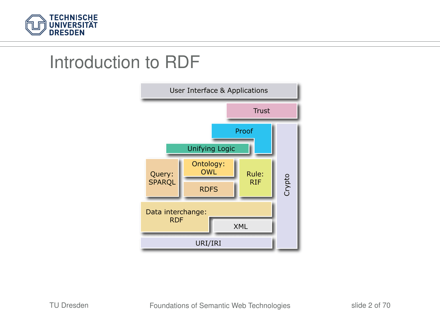

### Introduction to RDF

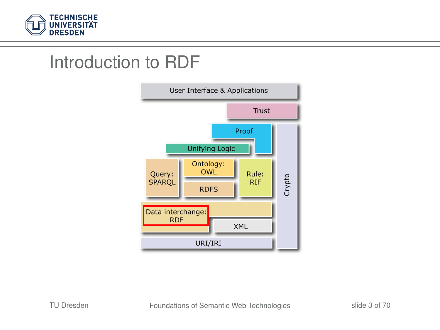

### Introduction to RDF

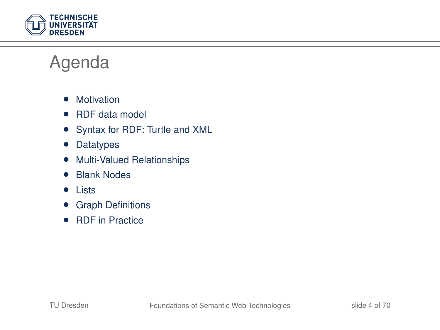

### Agenda

- Motivation
- RDF data model
- Syntax for RDF: Turtle and XML
- Datatypes
- Multi-Valued Relationships
- Blank Nodes
- Lists
- Graph Definitions
- RDF in Practice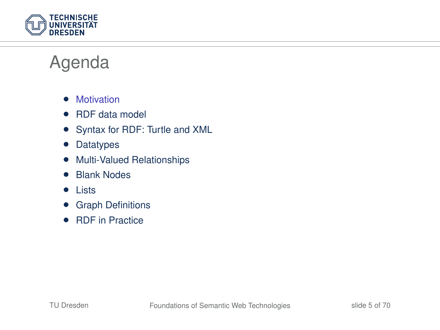

### Agenda

- Motivation
- RDF data model
- Syntax for RDF: Turtle and XML
- Datatypes
- Multi-Valued Relationships
- Blank Nodes
- Lists
- Graph Definitions
- RDF in Practice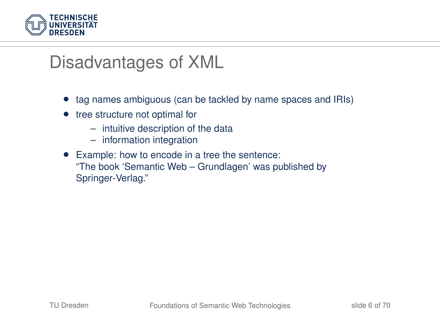

### Disadvantages of XML

- tag names ambiguous (can be tackled by name spaces and IRIs)
- tree structure not optimal for
	- intuitive description of the data
	- information integration
- Example: how to encode in a tree the sentence: "The book 'Semantic Web – Grundlagen' was published by Springer-Verlag."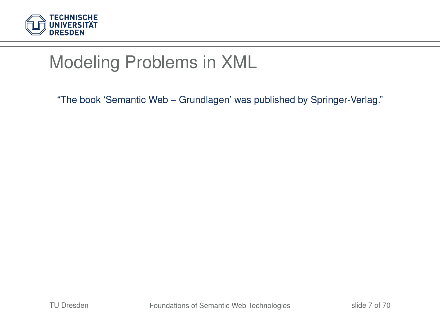

"The book 'Semantic Web – Grundlagen' was published by Springer-Verlag."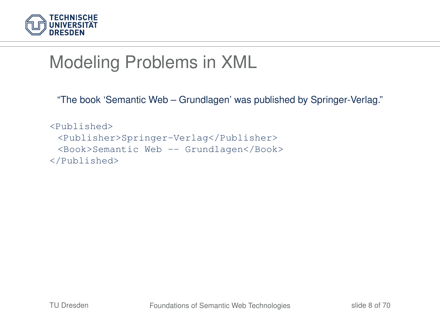

"The book 'Semantic Web – Grundlagen' was published by Springer-Verlag."

```
<Published>
 <Publisher>Springer-Verlag</Publisher>
 <Book>Semantic Web -- Grundlagen</Book>
</Published>
```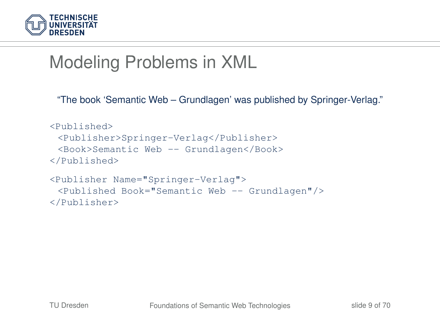

"The book 'Semantic Web – Grundlagen' was published by Springer-Verlag."

```
<Published>
 <Publisher>Springer-Verlag</Publisher>
 <Book>Semantic Web -- Grundlagen</Book>
</Published>
<Publisher Name="Springer-Verlag">
 <Published Book="Semantic Web -- Grundlagen"/>
```
</Publisher>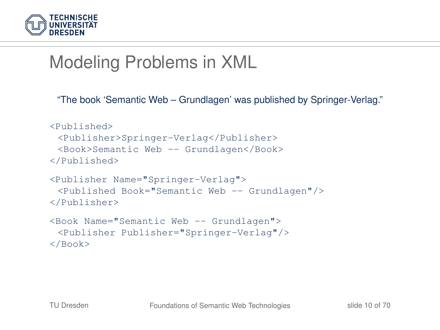

"The book 'Semantic Web – Grundlagen' was published by Springer-Verlag."

```
<Published>
 <Publisher>Springer-Verlag</Publisher>
 <Book>Semantic Web -- Grundlagen</Book>
</Published>
<Publisher Name="Springer-Verlag">
 <Published Book="Semantic Web -- Grundlagen"/>
</Publisher>
<Book Name="Semantic Web -- Grundlagen">
 <Publisher Publisher="Springer-Verlag"/>
</Book>
```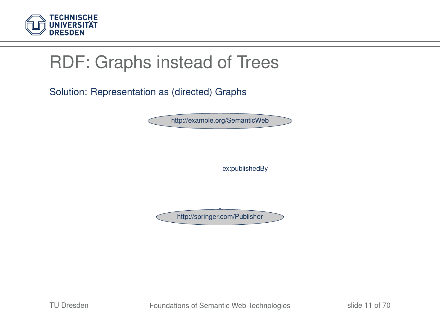

# RDF: Graphs instead of Trees

Solution: Representation as (directed) Graphs

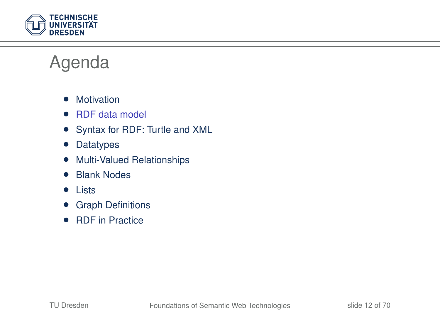

### Agenda

- Motivation
- RDF data model
- Syntax for RDF: Turtle and XML
- Datatypes
- Multi-Valued Relationships
- Blank Nodes
- Lists
- Graph Definitions
- RDF in Practice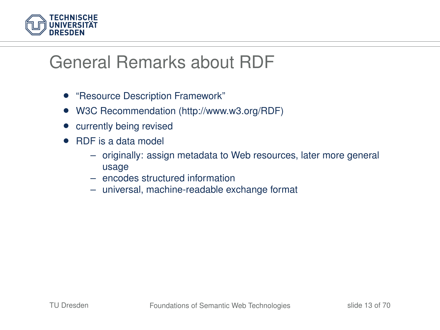

# General Remarks about RDF

- "Resource Description Framework"
- W3C Recommendation (http://www.w3.org/RDF)
- currently being revised
- RDF is a data model
	- originally: assign metadata to Web resources, later more general usage
	- encodes structured information
	- universal, machine-readable exchange format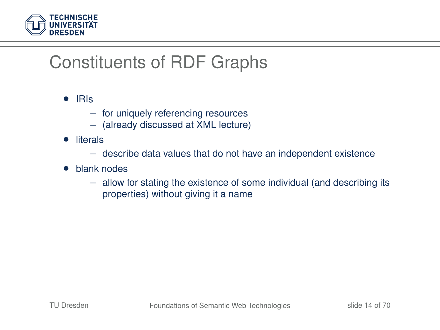

# Constituents of RDF Graphs

#### • IRIs

- for uniquely referencing resources
- (already discussed at XML lecture)
- literals
	- describe data values that do not have an independent existence
- blank nodes
	- allow for stating the existence of some individual (and describing its properties) without giving it a name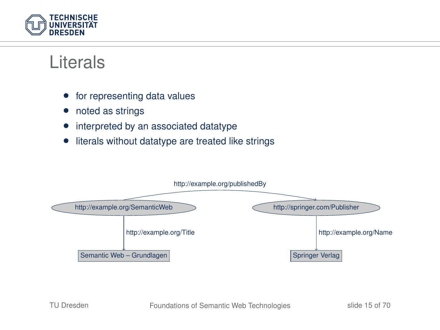

### Literals

- for representing data values
- noted as strings
- interpreted by an associated datatype
- literals without datatype are treated like strings

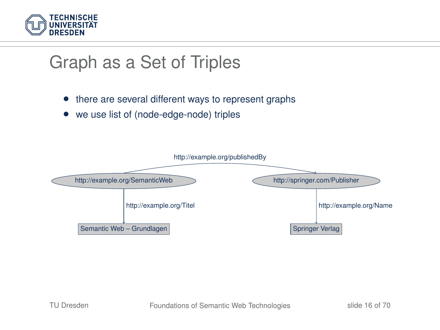

# Graph as a Set of Triples

- there are several different ways to represent graphs
- we use list of (node-edge-node) triples

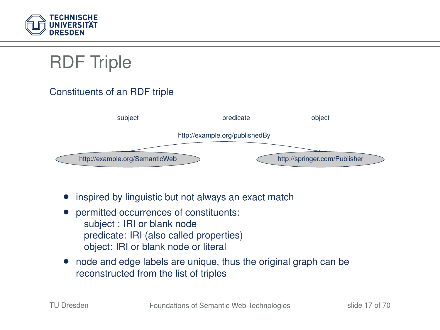

# RDF Triple

#### Constituents of an RDF triple



- inspired by linguistic but not always an exact match
- permitted occurrences of constituents: subject : IRI or blank node predicate: IRI (also called properties) object: IRI or blank node or literal
- node and edge labels are unique, thus the original graph can be reconstructed from the list of triples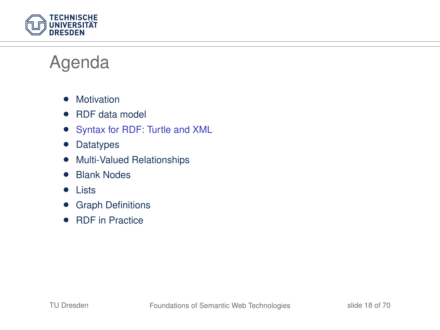

### Agenda

- Motivation
- RDF data model
- Syntax for RDF: Turtle and XML
- Datatypes
- Multi-Valued Relationships
- Blank Nodes
- Lists
- Graph Definitions
- RDF in Practice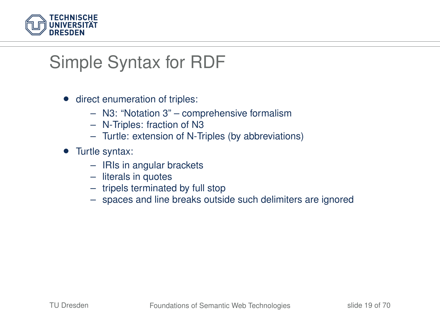

# Simple Syntax for RDF

- direct enumeration of triples:
	- N3: "Notation 3" comprehensive formalism
	- N-Triples: fraction of N3
	- Turtle: extension of N-Triples (by abbreviations)
- Turtle syntax:
	- IRIs in angular brackets
	- literals in quotes
	- tripels terminated by full stop
	- spaces and line breaks outside such delimiters are ignored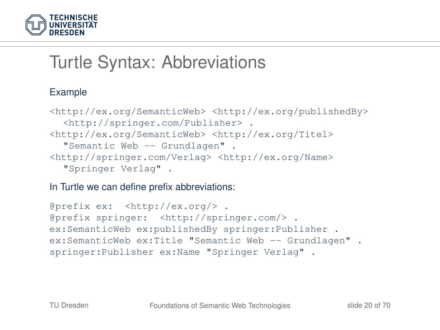

# Turtle Syntax: Abbreviations

#### Example

```
<http://ex.org/SemanticWeb> <http://ex.org/publishedBy>
  <http://springer.com/Publisher> .
<http://ex.org/SemanticWeb> <http://ex.org/Titel>
  "Semantic Web -- Grundlagen" .
<http://springer.com/Verlag> <http://ex.org/Name>
  "Springer Verlag" .
```
In Turtle we can define prefix abbreviations:

```
@prefix ex: <http://ex.org/> .
@prefix springer: <http://springer.com/> .
ex:SemanticWeb ex:publishedBy springer:Publisher .
ex:SemanticWeb ex:Title "Semantic Web -- Grundlagen" .
springer:Publisher ex:Name "Springer Verlag" .
```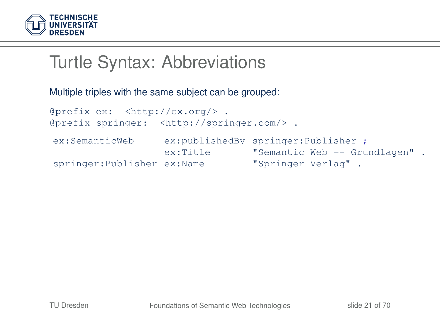

### Turtle Syntax: Abbreviations

Multiple triples with the same subject can be grouped:

```
@prefix ex: <http://ex.org/> .
@prefix springer: <http://springer.com/> .
ex:SemanticWeb ex:publishedBy springer:Publisher ;
                     ex:Title  "Semantic Web -- Grundlagen" .<br>ex:Name  "Springer Verlag" .
springer:Publisher ex:Name
```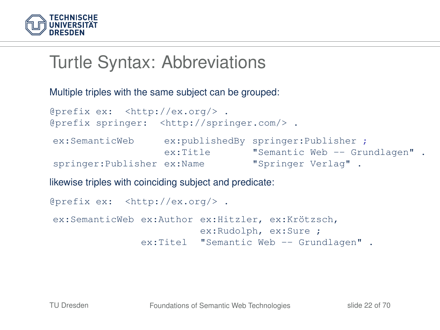

## Turtle Syntax: Abbreviations

Multiple triples with the same subject can be grouped:

```
@prefix ex: <http://ex.org/> .
@prefix springer: <http://springer.com/> .
ex:SemanticWeb ex:publishedBy springer:Publisher ;
                  ex:Title "Semantic Web -- Grundlagen" .
springer:Publisher ex:Name "Springer Verlag" .
```
likewise triples with coinciding subject and predicate:

```
@prefix ex: <http://ex.org/> .
ex:SemanticWeb ex:Author ex:Hitzler, ex:Krötzsch,
                         ex:Rudolph, ex:Sure ;
               ex:Titel "Semantic Web -- Grundlagen" .
```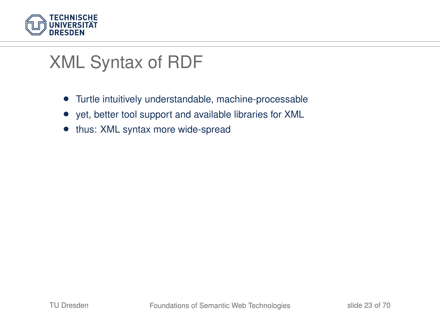

- Turtle intuitively understandable, machine-processable
- yet, better tool support and available libraries for XML
- thus: XML syntax more wide-spread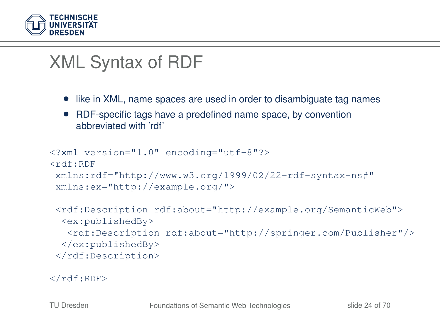

- like in XML, name spaces are used in order to disambiguate tag names
- RDF-specific tags have a predefined name space, by convention abbreviated with 'rdf'

```
<?xml version="1.0" encoding="utf-8"?>
<rdf:RDF
xmlns:rdf="http://www.w3.org/1999/02/22-rdf-syntax-ns#"
xmlns:ex="http://example.org/">
<rdf:Description rdf:about="http://example.org/SemanticWeb">
 <ex:publishedBy>
  <rdf:Description rdf:about="http://springer.com/Publisher"/>
 </ex:publishedBy>
</rdf:Description>
```

```
\langlerdf:RDF>
```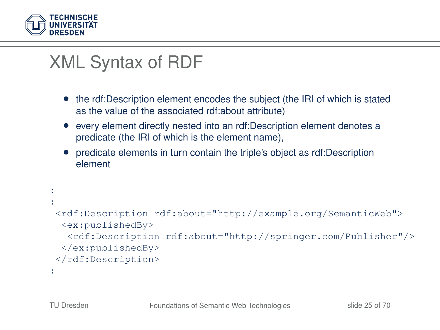

- the rdf:Description element encodes the subject (the IRI of which is stated as the value of the associated rdf:about attribute)
- every element directly nested into an rdf:Description element denotes a predicate (the IRI of which is the element name),
- predicate elements in turn contain the triple's object as rdf:Description element

```
:
:
<rdf:Description rdf:about="http://example.org/SemanticWeb">
 <ex:publishedBy>
   <rdf:Description rdf:about="http://springer.com/Publisher"/>
 </ex:publishedBy>
</rdf:Description>
:
```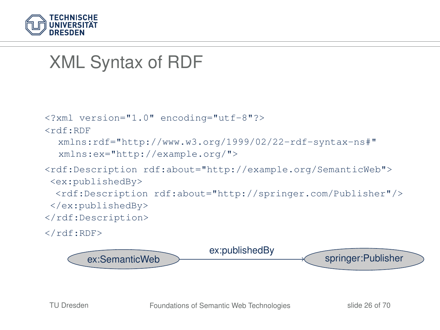

```
<?xml version="1.0" encoding="utf-8"?>
<rdf:RDF
  xmlns:rdf="http://www.w3.org/1999/02/22-rdf-syntax-ns#"
  xmlns:ex="http://example.org/">
<rdf:Description rdf:about="http://example.org/SemanticWeb">
 <ex:publishedBy>
  <rdf:Description rdf:about="http://springer.com/Publisher"/>
 </ex:publishedBy>
</rdf:Description>
\langle/\mathsf{rdf:RDF}\rangle
```
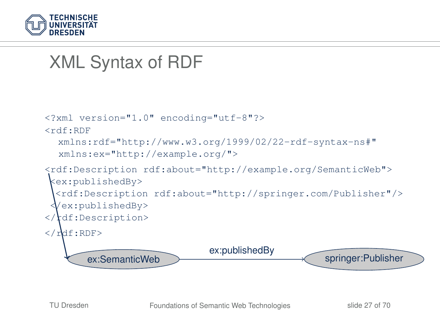

```
<?xml version="1.0" encoding="utf-8"?>
<rdf:RDF
  xmlns:rdf="http://www.w3.org/1999/02/22-rdf-syntax-ns#"
  xmlns:ex="http://example.org/">
<rdf:Description rdf:about="http://example.org/SemanticWeb">
 <ex:publishedBy>
  <rdf:Description rdf:about="http://springer.com/Publisher"/>
  </ex:publishedBy>
\langle \cdot \rangledf:Description>
\langle \mathbf{r}df:RDF>
       ex:SemanticWeb springer:Publisher
                              ex:publishedBy
```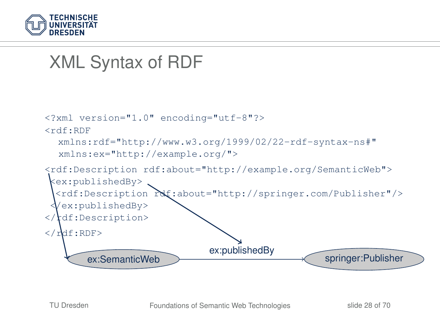

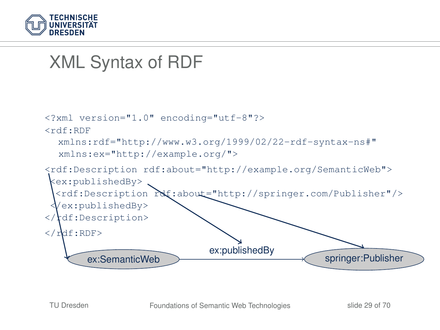

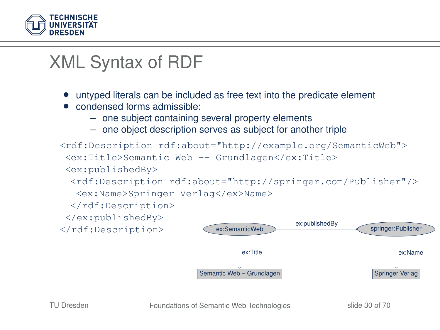

- untyped literals can be included as free text into the predicate element
- condensed forms admissible:
	- one subject containing several property elements
	- one object description serves as subject for another triple

```
<rdf:Description rdf:about="http://example.org/SemanticWeb">
 <ex:Title>Semantic Web -- Grundlagen</ex:Title>
 <ex:publishedBy>
  <rdf:Description rdf:about="http://springer.com/Publisher"/>
   <ex:Name>Springer Verlag</ex>Name>
  </rdf:Description>
 </ex:publishedBy>
</rdf:Description> ex:SemanticWeb springer:Publisher> springer:Publisher>
                         Semantic Web – Grundlagen Number 1986 Springer Verlag
                                           ex:publishedBy
                                 ex:Title ex:Name
```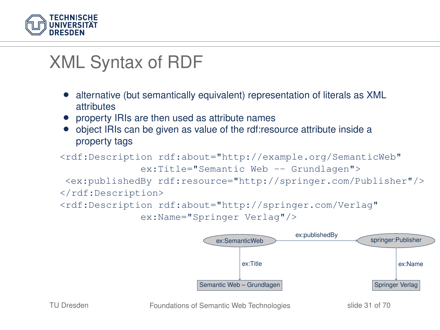

- alternative (but semantically equivalent) representation of literals as XML **attributes**
- property IRIs are then used as attribute names
- object IRIs can be given as value of the rdf:resource attribute inside a property tags

```
<rdf:Description rdf:about="http://example.org/SemanticWeb"
              ex:Title="Semantic Web -- Grundlagen">
<ex:publishedBy rdf:resource="http://springer.com/Publisher"/>
</rdf:Description>
<rdf:Description rdf:about="http://springer.com/Verlag"
```

```
ex:Name="Springer Verlag"/>
```
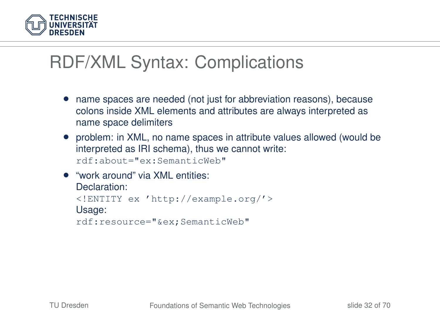

# RDF/XML Syntax: Complications

- name spaces are needed (not just for abbreviation reasons), because colons inside XML elements and attributes are always interpreted as name space delimiters
- problem: in XML, no name spaces in attribute values allowed (would be interpreted as IRI schema), thus we cannot write: rdf:about="ex:SemanticWeb"
- "work around" via XML entities: Declaration: <!ENTITY ex 'http://example.org/'> Usage: rdf:resource="&ex;SemanticWeb"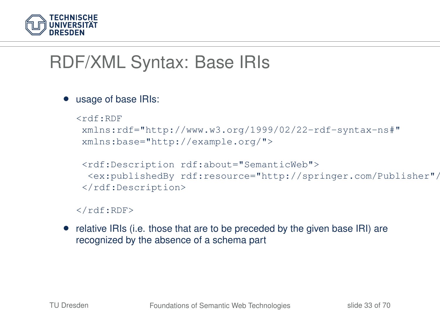

# RDF/XML Syntax: Base IRIs

#### • usage of base IRIs:

```
<rdf:RDF
xmlns:rdf="http://www.w3.org/1999/02/22-rdf-syntax-ns#"
xmlns:base="http://example.org/">
```

```
<rdf:Description rdf:about="SemanticWeb">
<ex:publishedBy rdf:resource="http://springer.com/Publisher"/>
</rdf:Description>
```
#### $\langle$ rdf:RDF>

• relative IRIs (i.e. those that are to be preceded by the given base IRI) are recognized by the absence of a schema part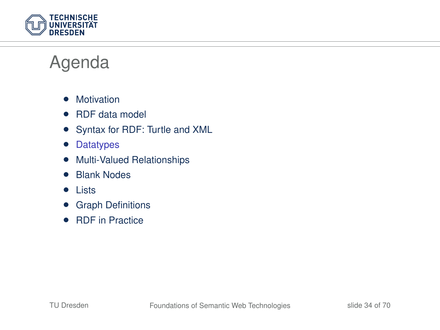

### Agenda

- Motivation
- RDF data model
- Syntax for RDF: Turtle and XML
- Datatypes
- Multi-Valued Relationships
- Blank Nodes
- Lists
- Graph Definitions
- RDF in Practice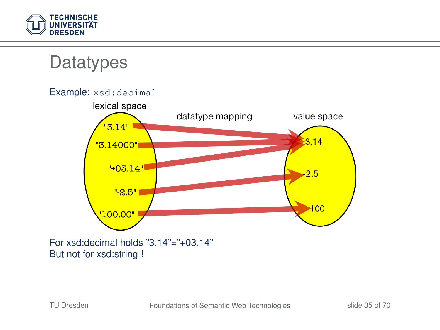

### **Datatypes**



But not for xsd:string !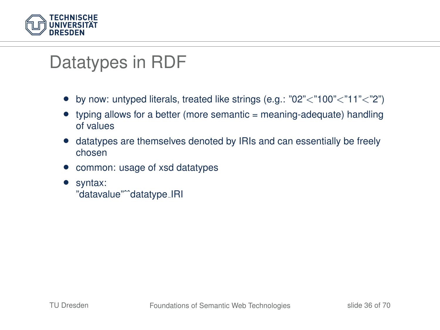

# Datatypes in RDF

- by now: untyped literals, treated like strings (e.g.:  $"02" < "100" < "11" < "2"$ )
- typing allows for a better (more semantic = meaning-adequate) handling of values
- datatypes are themselves denoted by IRIs and can essentially be freely chosen
- common: usage of xsd datatypes
- syntax: "datavalue"ˆˆdatatype IRI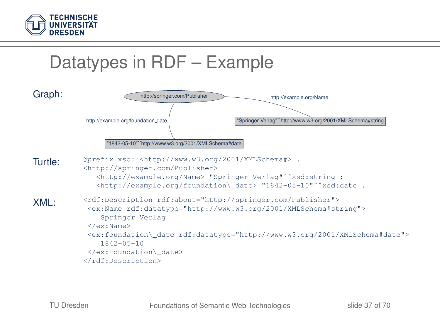



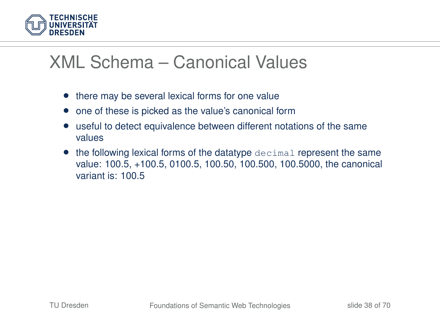

### XML Schema – Canonical Values

- there may be several lexical forms for one value
- one of these is picked as the value's canonical form
- useful to detect equivalence between different notations of the same values
- the following lexical forms of the datatype decimal represent the same value: 100.5, +100.5, 0100.5, 100.50, 100.500, 100.5000, the canonical variant is: 100.5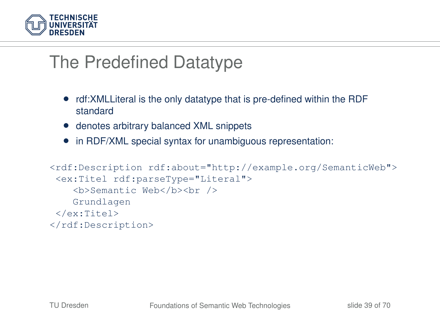

### The Predefined Datatype

- rdf:XMLLiteral is the only datatype that is pre-defined within the RDF standard
- denotes arbitrary balanced XML snippets
- in RDF/XML special syntax for unambiguous representation:

```
<rdf:Description rdf:about="http://example.org/SemanticWeb">
<ex:Titel rdf:parseType="Literal">
    <b>Semantic Web</b><br />
   Grundlagen
</ex:Titel>
</rdf:Description>
```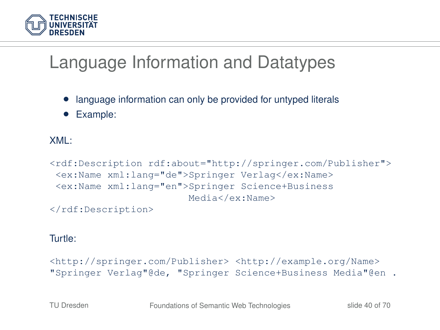

# Language Information and Datatypes

- language information can only be provided for untyped literals
- Example:

#### XML:

```
<rdf:Description rdf:about="http://springer.com/Publisher">
<ex:Name xml:lang="de">Springer Verlag</ex:Name>
<ex:Name xml:lang="en">Springer Science+Business
                        Media</ex:Name>
```
</rdf:Description>

#### Turtle:

```
<http://springer.com/Publisher> <http://example.org/Name>
"Springer Verlag"@de, "Springer Science+Business Media"@en .
```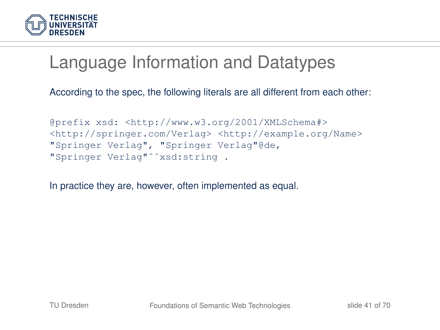

## Language Information and Datatypes

According to the spec, the following literals are all different from each other:

```
@prefix xsd: <http://www.w3.org/2001/XMLSchema#>
<http://springer.com/Verlag> <http://example.org/Name>
"Springer Verlag", "Springer Verlag"@de,
"Springer Verlag"ˆˆxsd:string .
```
In practice they are, however, often implemented as equal.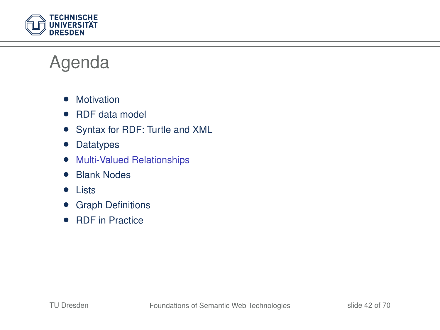

### Agenda

- Motivation
- RDF data model
- Syntax for RDF: Turtle and XML
- Datatypes
- Multi-Valued Relationships
- Blank Nodes
- Lists
- Graph Definitions
- RDF in Practice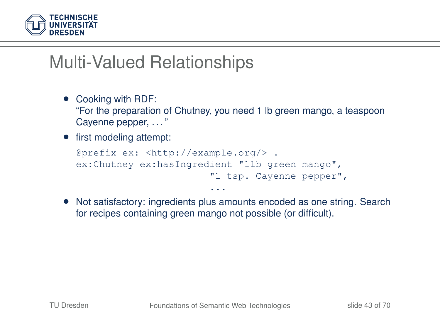

- Cooking with RDF: "For the preparation of Chutney, you need 1 lb green mango, a teaspoon Cayenne pepper, ..."
- first modeling attempt:

```
@prefix ex: <http://example.org/> .
ex:Chutney ex:hasIngredient "1lb green mango",
                       "1 tsp. Cayenne pepper",
                        ...
```
• Not satisfactory: ingredients plus amounts encoded as one string. Search for recipes containing green mango not possible (or difficult).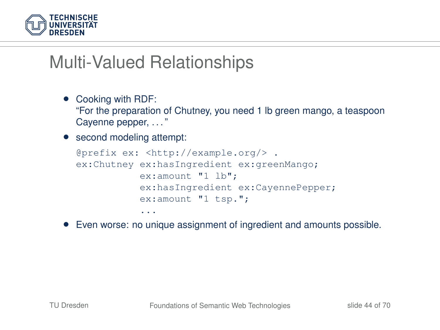

- Cooking with RDF: "For the preparation of Chutney, you need 1 lb green mango, a teaspoon Cayenne pepper, ..."
- second modeling attempt:

```
@prefix ex: <http://example.org/> .
ex:Chutney ex:hasIngredient ex:greenMango;
           ex:amount "1 lb";
           ex:hasIngredient ex:CayennePepper;
           ex:amount "1 tsp.";
           ...
```
• Even worse: no unique assignment of ingredient and amounts possible.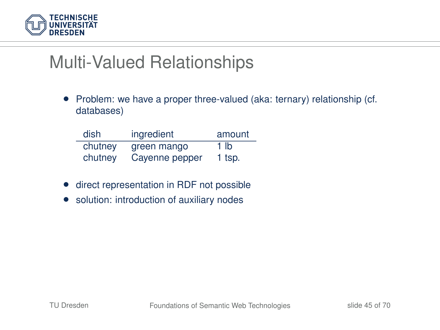

• Problem: we have a proper three-valued (aka: ternary) relationship (cf. databases)

| dish    | ingredient     | amount          |
|---------|----------------|-----------------|
| chutney | green mango    | 1 <sub>lb</sub> |
| chutney | Cayenne pepper | 1 tsp.          |

- direct representation in RDF not possible
- solution: introduction of auxiliary nodes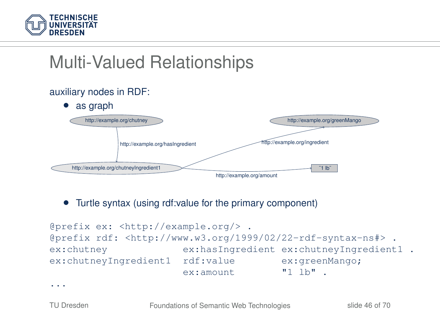

#### auxiliary nodes in RDF:



• Turtle syntax (using rdf:value for the primary component)

```
@prefix ex: <http://example.org/> .
@prefix rdf: <http://www.w3.org/1999/02/22-rdf-syntax-ns#> .
ex:chutney ex:hasIngredient ex:chutneyIngredient1 .
ex:chutneyIngredient1 rdf:value ex:greenMango;
                    ex:amount "1 lb" .
```
...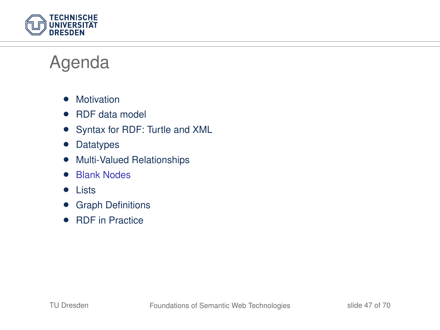

### Agenda

- Motivation
- RDF data model
- Syntax for RDF: Turtle and XML
- Datatypes
- Multi-Valued Relationships
- Blank Nodes
- Lists
- Graph Definitions
- RDF in Practice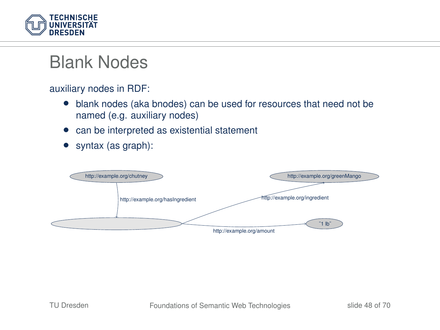

### Blank Nodes

auxiliary nodes in RDF:

- blank nodes (aka bnodes) can be used for resources that need not be named (e.g. auxiliary nodes)
- can be interpreted as existential statement
- syntax (as graph):

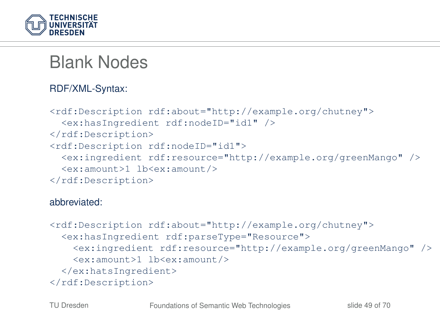

## Blank Nodes

#### RDF/XML-Syntax:

```
<rdf:Description rdf:about="http://example.org/chutney">
 <ex:hasIngredient rdf:nodeID="id1" />
</rdf:Description>
<rdf:Description rdf:nodeID="id1">
 <ex:ingredient rdf:resource="http://example.org/greenMango" />
 <ex:amount>1 lb<ex:amount/>
</rdf:Description>
```
#### abbreviated:

```
<rdf:Description rdf:about="http://example.org/chutney">
 <ex:hasIngredient rdf:parseType="Resource">
    <ex:ingredient rdf:resource="http://example.org/greenMango" />
    <ex:amount>1 lb<ex:amount/>
 </ex:hatsIngredient>
</rdf:Description>
```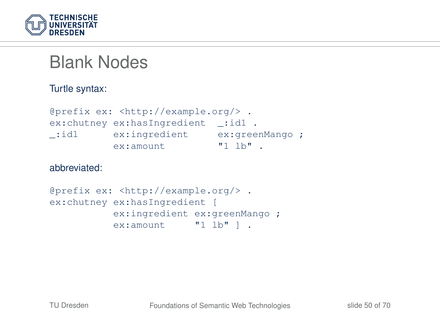

### Blank Nodes

Turtle syntax:

```
@prefix ex: <http://example.org/> .
ex: chutney ex: has Ingredient : id1 .
_:id1 ex:ingredient ex:greenMango ;
          ex:amount "1 lb" .
```
abbreviated:

```
@prefix ex: <http://example.org/> .
ex: chutney ex: has Ingredient [
           ex:ingredient ex:greenMango :
           ex:amount "1 lb" ] .
```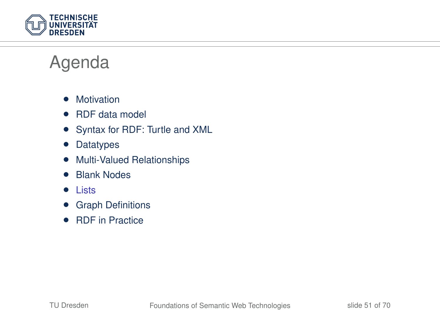

### Agenda

- Motivation
- RDF data model
- Syntax for RDF: Turtle and XML
- Datatypes
- Multi-Valued Relationships
- Blank Nodes
- Lists
- Graph Definitions
- RDF in Practice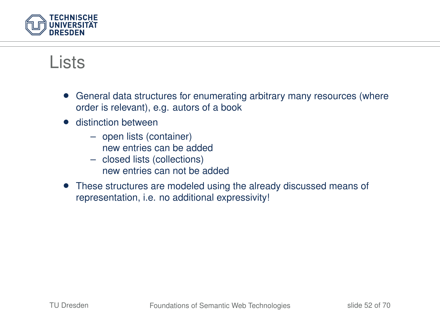

### Lists

- General data structures for enumerating arbitrary many resources (where order is relevant), e.g. autors of a book
- **•** distinction between
	- open lists (container) new entries can be added
	- closed lists (collections) new entries can not be added
- These structures are modeled using the already discussed means of representation, i.e. no additional expressivity!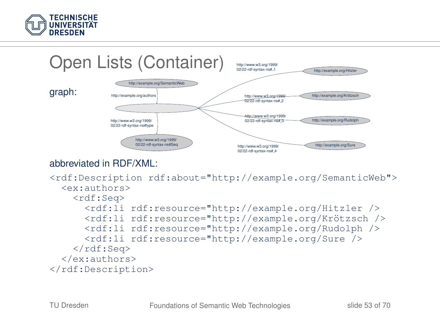



#### abbreviated in RDF/XML:

```
<rdf:Description rdf:about="http://example.org/SemanticWeb">
  <ex:authors>
    <rdf:Seq>
      <rdf:li rdf:resource="http://example.org/Hitzler />
      <rdf:li rdf:resource="http://example.org/Krötzsch />
      <rdf:li rdf:resource="http://example.org/Rudolph />
      <rdf:li rdf:resource="http://example.org/Sure />
    \langle \ranglerdf:Seq>
  </ex:authors>
</rdf:Description>
```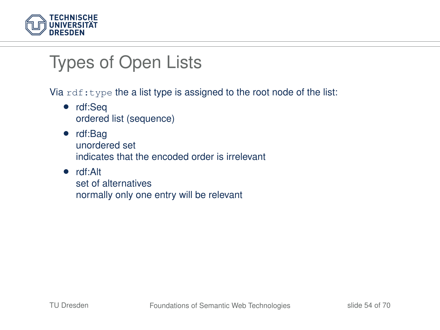

# Types of Open Lists

Via  $rdf:type$  the a list type is assigned to the root node of the list:

- rdf:Seq ordered list (sequence)
- rdf:Bag unordered set indicates that the encoded order is irrelevant
- rdf:Alt set of alternatives normally only one entry will be relevant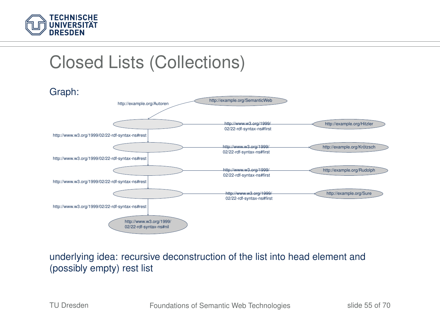

# Closed Lists (Collections)



#### underlying idea: recursive deconstruction of the list into head element and (possibly empty) rest list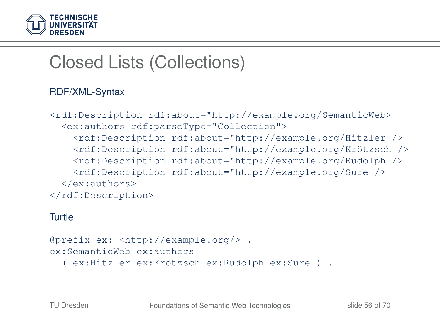

# Closed Lists (Collections)

#### RDF/XML-Syntax

```
<rdf:Description rdf:about="http://example.org/SemanticWeb>
 <ex:authors rdf:parseType="Collection">
   <rdf:Description rdf:about="http://example.org/Hitzler />
   <rdf:Description rdf:about="http://example.org/Krötzsch />
   <rdf:Description rdf:about="http://example.org/Rudolph />
   <rdf:Description rdf:about="http://example.org/Sure />
 </ex:authors>
</rdf:Description>
```
#### Turtle

```
@prefix ex: <http://example.org/> .
ex:SemanticWeb ex:authors
  ( ex:Hitzler ex:Krötzsch ex:Rudolph ex:Sure ) .
```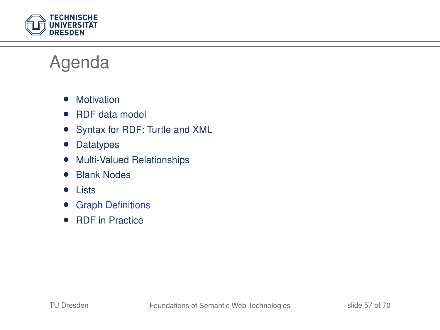

### Agenda

- Motivation
- RDF data model
- Syntax for RDF: Turtle and XML
- Datatypes
- Multi-Valued Relationships
- Blank Nodes
- Lists
- Graph Definitions
- RDF in Practice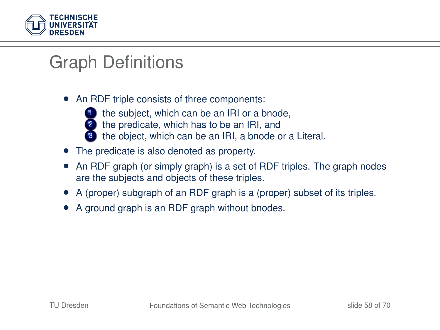

• An RDF triple consists of three components:



- the subject, which can be an IRI or a bnode,
- 2 the predicate, which has to be an IRI, and
	- the object, which can be an IRI, a bnode or a Literal.
- The predicate is also denoted as property.
- An RDF graph (or simply graph) is a set of RDF triples. The graph nodes are the subjects and objects of these triples.
- A (proper) subgraph of an RDF graph is a (proper) subset of its triples.
- A ground graph is an RDF graph without bnodes.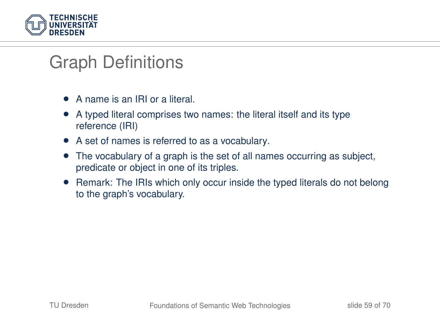

- A name is an IRI or a literal.
- A typed literal comprises two names: the literal itself and its type reference (IRI)
- A set of names is referred to as a vocabulary.
- The vocabulary of a graph is the set of all names occurring as subject, predicate or object in one of its triples.
- Remark: The IRIs which only occur inside the typed literals do not belong to the graph's vocabulary.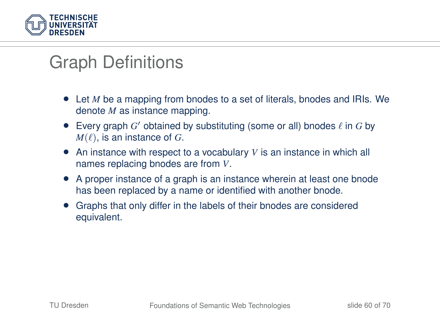

- Let *M* be a mapping from bnodes to a set of literals, bnodes and IRIs. We denote *M* as instance mapping.
- Every graph  $G'$  obtained by substituting (some or all) bnodes  $\ell$  in  $G$  by  $M(\ell)$ , is an instance of *G*.
- An instance with respect to a vocabulary *V* is an instance in which all names replacing bnodes are from *V*.
- A proper instance of a graph is an instance wherein at least one bnode has been replaced by a name or identified with another bnode.
- Graphs that only differ in the labels of their bnodes are considered equivalent.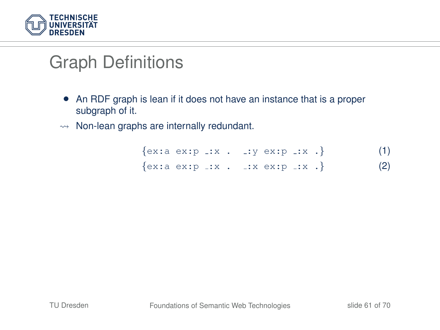

- An RDF graph is lean if it does not have an instance that is a proper subgraph of it.
- $\rightarrow$  Non-lean graphs are internally redundant.

<span id="page-60-1"></span><span id="page-60-0"></span>

|  | $\{ex:a ex:p x. : :y ex:p x. \}$ |  |  |  | (1) |
|--|----------------------------------|--|--|--|-----|
|  | $\{ex:a ex:p x. : x ex:p x. \}$  |  |  |  | (2) |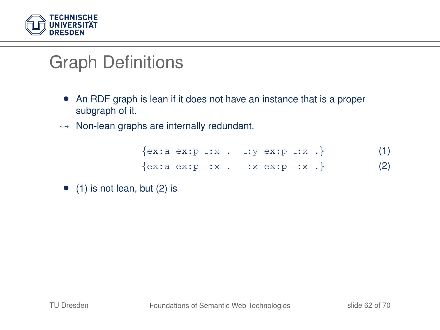

- An RDF graph is lean if it does not have an instance that is a proper subgraph of it.
- $\rightarrow$  Non-lean graphs are internally redundant.

| $\{ex:a ex:p x. : y ex:p x. \}$ |  |  |  |  | (1) |
|---------------------------------|--|--|--|--|-----|
| $\{ex:a ex:p x. : x ex:p x. \}$ |  |  |  |  | (2) |

 $\bullet$  [\(1\)](#page-60-0) is not lean, but [\(2\)](#page-60-1) is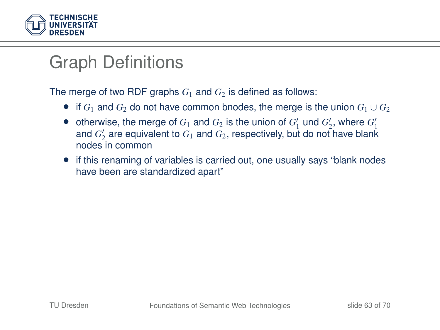

The merge of two RDF graphs  $G_1$  and  $G_2$  is defined as follows:

- if  $G_1$  and  $G_2$  do not have common bnodes, the merge is the union  $G_1 \cup G_2$
- otherwise, the merge of  $G_1$  and  $G_2$  is the union of  $G'_1$  und  $G'_2$ , where  $G'_1$ and  $G_2'$  are equivalent to  $G_1$  and  $G_2$ , respectively, but do not have blank nodes in common
- if this renaming of variables is carried out, one usually says "blank nodes have been are standardized apart"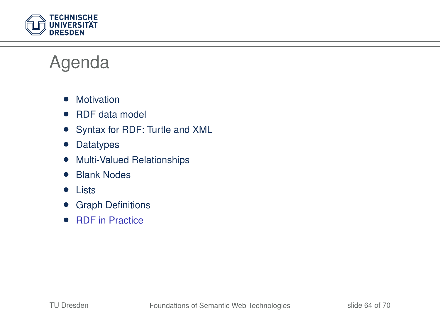

### Agenda

- Motivation
- RDF data model
- Syntax for RDF: Turtle and XML
- Datatypes
- Multi-Valued Relationships
- Blank Nodes
- Lists
- Graph Definitions
- RDF in Practice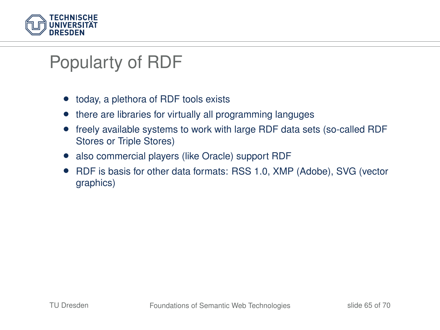

# Popularty of RDF

- today, a plethora of RDF tools exists
- there are libraries for virtually all programming languges
- freely available systems to work with large RDF data sets (so-called RDF Stores or Triple Stores)
- also commercial players (like Oracle) support RDF
- RDF is basis for other data formats: RSS 1.0, XMP (Adobe), SVG (vector graphics)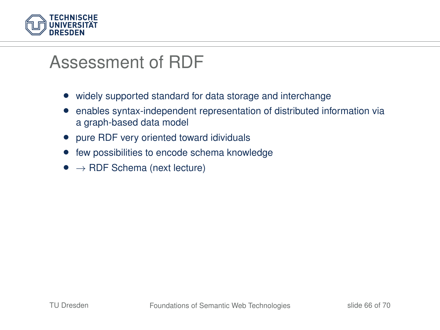

### Assessment of RDF

- widely supported standard for data storage and interchange
- enables syntax-independent representation of distributed information via a graph-based data model
- pure RDF very oriented toward idividuals
- few possibilities to encode schema knowledge
- $\bullet \rightarrow$  RDF Schema (next lecture)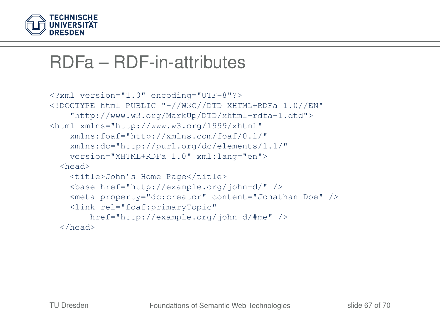

### RDFa – RDF-in-attributes

```
<?xml version="1.0" encoding="UTF-8"?>
<!DOCTYPE html PUBLIC "-//W3C//DTD XHTML+RDFa 1.0//EN"
    "http://www.w3.org/MarkUp/DTD/xhtml-rdfa-1.dtd">
<html xmlns="http://www.w3.org/1999/xhtml"
    xmlns:foaf="http://xmlns.com/foaf/0.1/"
    xmlns:dc="http://purl.org/dc/elements/1.1/"
    version="XHTML+RDFa 1.0" xml:lang="en">
  <head>
    <title>John's Home Page</title>
    <base href="http://example.org/john-d/" />
    <meta property="dc:creator" content="Jonathan Doe" />
    <link rel="foaf:primaryTopic"
        href="http://example.org/john-d/#me" />
  </head>
```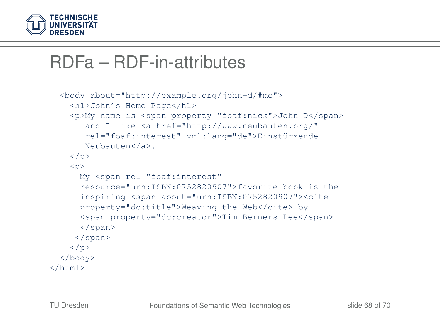

### RDFa – RDF-in-attributes

```
<body about="http://example.org/john-d/#me">
   <h1>John's Home Page</h1>
    <p>My name is <span property="foaf:nick">John D</span>
       and I like <a href="http://www.neubauten.org/"
       rel="foaf:interest" xml:lang="de">Einstürzende
      Neubauten</a>.
   </p>
   <p>
     My <span rel="foaf:interest"
     resource="urn:ISBN:0752820907">favorite book is the
     inspiring <span about="urn:ISBN:0752820907"><cite
     property="dc:title">Weaving the Web</cite> by
     <span property="dc:creator">Tim Berners-Lee</span>
     </span>
     </span>
   \langle/p>
 </body>
\langle/html>
```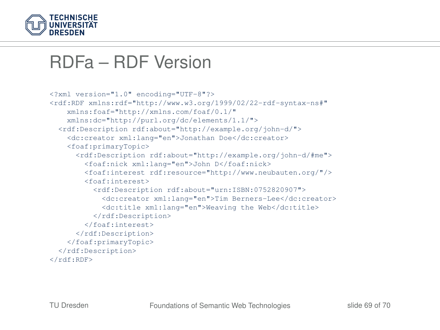

### RDFa – RDF Version

```
<?xml version="1.0" encoding="UTF-8"?>
<rdf:RDF xmlns:rdf="http://www.w3.org/1999/02/22-rdf-syntax-ns#"
    xmlns:foaf="http://xmlns.com/foaf/0.1/"
    xmlns:dc="http://purl.org/dc/elements/1.1/">
  <rdf:Description rdf:about="http://example.org/john-d/">
    <dc:creator xml:lang="en">Jonathan Doe</dc:creator>
    <foaf:primaryTopic>
      <rdf:Description rdf:about="http://example.org/john-d/#me">
        <foaf:nick xml:lang="en">John D</foaf:nick>
        <foaf:interest rdf:resource="http://www.neubauten.org/"/>
        <foaf:interest>
          <rdf:Description rdf:about="urn:ISBN:0752820907">
            <dc:creator xml:lang="en">Tim Berners-Lee</dc:creator>
            <dc:title xml:lang="en">Weaving the Web</dc:title>
         </rdf:Description>
        </foaf:interest>
     </rdf:Description>
    </foaf:primaryTopic>
  </rdf:Description>
</rdf:RDF>
```